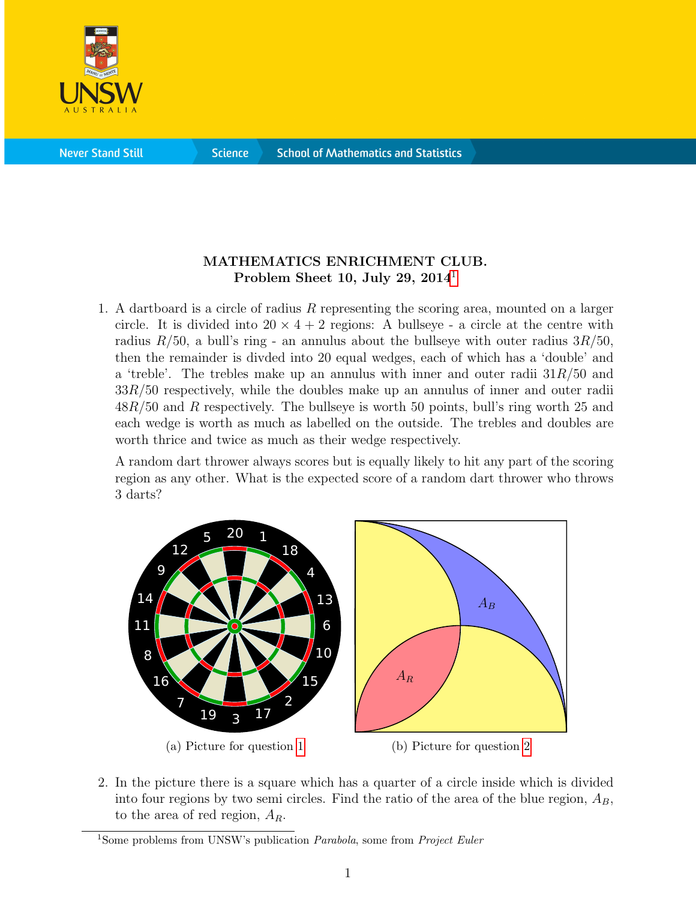

**Science** 

## MATHEMATICS ENRICHMENT CLUB. Problem Sheet [1](#page-0-0)0, July 29,  $2014<sup>1</sup>$

<span id="page-0-1"></span>1. A dartboard is a circle of radius  $R$  representing the scoring area, mounted on a larger circle. It is divided into  $20 \times 4 + 2$  regions: A bullseye - a circle at the centre with radius  $R/50$ , a bull's ring - an annulus about the bullseye with outer radius  $3R/50$ , then the remainder is divded into 20 equal wedges, each of which has a 'double' and a 'treble'. The trebles make up an annulus with inner and outer radii  $31R/50$  and  $33R/50$  respectively, while the doubles make up an annulus of inner and outer radii 48R/50 and R respectively. The bullseye is worth 50 points, bull's ring worth 25 and each wedge is worth as much as labelled on the outside. The trebles and doubles are worth thrice and twice as much as their wedge respectively.

A random dart thrower always scores but is equally likely to hit any part of the scoring region as any other. What is the expected score of a random dart thrower who throws 3 darts?

<span id="page-0-2"></span>

2. In the picture there is a square which has a quarter of a circle inside which is divided into four regions by two semi circles. Find the ratio of the area of the blue region,  $A_B$ , to the area of red region,  $A_R$ .

<span id="page-0-0"></span><sup>&</sup>lt;sup>1</sup>Some problems from UNSW's publication *Parabola*, some from *Project Euler*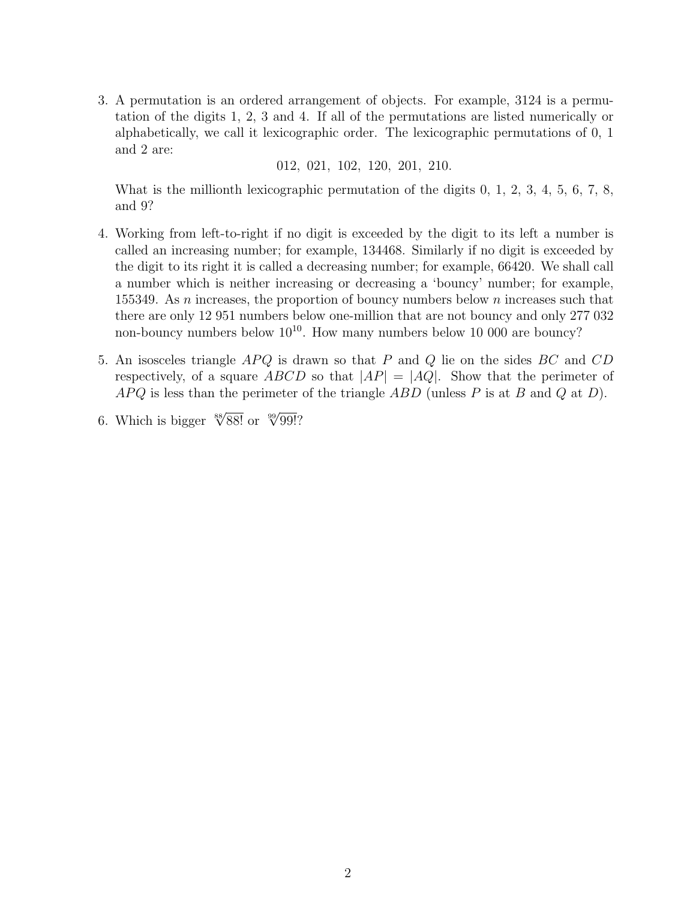3. A permutation is an ordered arrangement of objects. For example, 3124 is a permutation of the digits 1, 2, 3 and 4. If all of the permutations are listed numerically or alphabetically, we call it lexicographic order. The lexicographic permutations of 0, 1 and 2 are:

$$
012, 021, 102, 120, 201, 210.
$$

What is the millionth lexicographic permutation of the digits 0, 1, 2, 3, 4, 5, 6, 7, 8, and 9?

- <span id="page-1-0"></span>4. Working from left-to-right if no digit is exceeded by the digit to its left a number is called an increasing number; for example, 134468. Similarly if no digit is exceeded by the digit to its right it is called a decreasing number; for example, 66420. We shall call a number which is neither increasing or decreasing a 'bouncy' number; for example, 155349. As *n* increases, the proportion of bouncy numbers below *n* increases such that there are only 12 951 numbers below one-million that are not bouncy and only 277 032 non-bouncy numbers below  $10^{10}$ . How many numbers below 10 000 are bouncy?
- 5. An isosceles triangle  $APQ$  is drawn so that P and Q lie on the sides BC and CD respectively, of a square ABCD so that  $|AP| = |AQ|$ . Show that the perimeter of  $APQ$  is less than the perimeter of the triangle  $ABD$  (unless P is at B and Q at D).
- 6. Which is bigger  $\sqrt[88]{88!}$  or  $\sqrt[99]{99!}$ ?